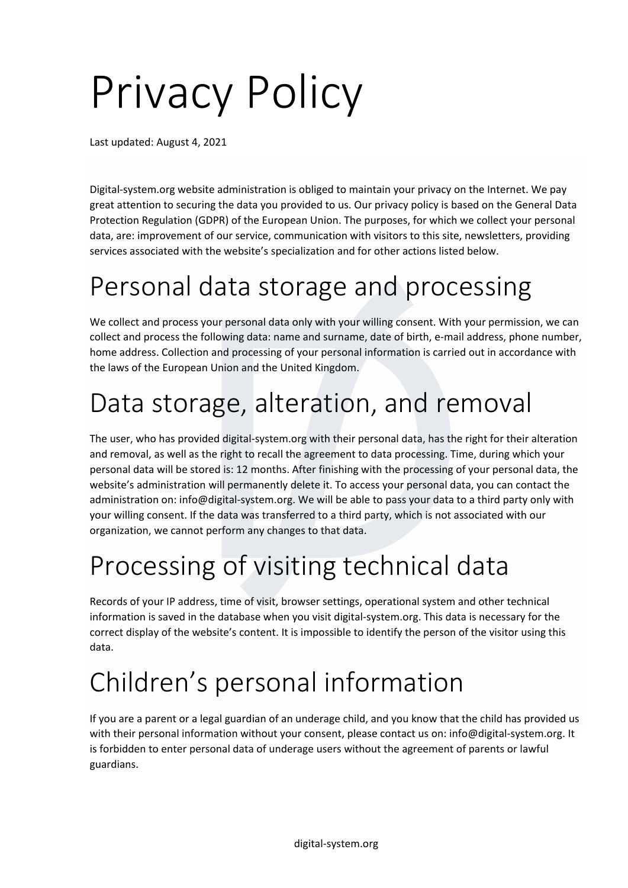# Privacy Policy

Last updated: August 4, 2021

Digital-system.org website administration is obliged to maintain your privacy on the Internet. We pay great attention to securing the data you provided to us. Our privacy policy is based on the General Data Protection Regulation (GDPR) of the European Union. The purposes, for which we collect your personal data, are: improvement of our service, communication with visitors to this site, newsletters, providing services associated with the website's specialization and for other actions listed below.

#### Personal data storage and processing

We collect and process your personal data only with your willing consent. With your permission, we can collect and process the following data: name and surname, date of birth, e-mail address, phone number, home address. Collection and processing of your personal information is carried out in accordance with the laws of the European Union and the United Kingdom.

### Data storage, alteration, and removal

The user, who has provided digital-system.org with their personal data, has the right for their alteration and removal, as well as the right to recall the agreement to data processing. Time, during which your personal data will be stored is: 12 months. After finishing with the processing of your personal data, the website's administration will permanently delete it. To access your personal data, you can contact the administration on: info@digital-system.org. We will be able to pass your data to a third party only with your willing consent. If the data was transferred to a third party, which is not associated with our organization, we cannot perform any changes to that data.

#### Processing of visiting technical data

Records of your IP address, time of visit, browser settings, operational system and other technical information is saved in the database when you visit digital-system.org. This data is necessary for the correct display of the website's content. It is impossible to identify the person of the visitor using this data.

## Children's personal information

If you are a parent or a legal guardian of an underage child, and you know that the child has provided us with their personal information without your consent, please contact us on: info@digital-system.org. It is forbidden to enter personal data of underage users without the agreement of parents or lawful guardians.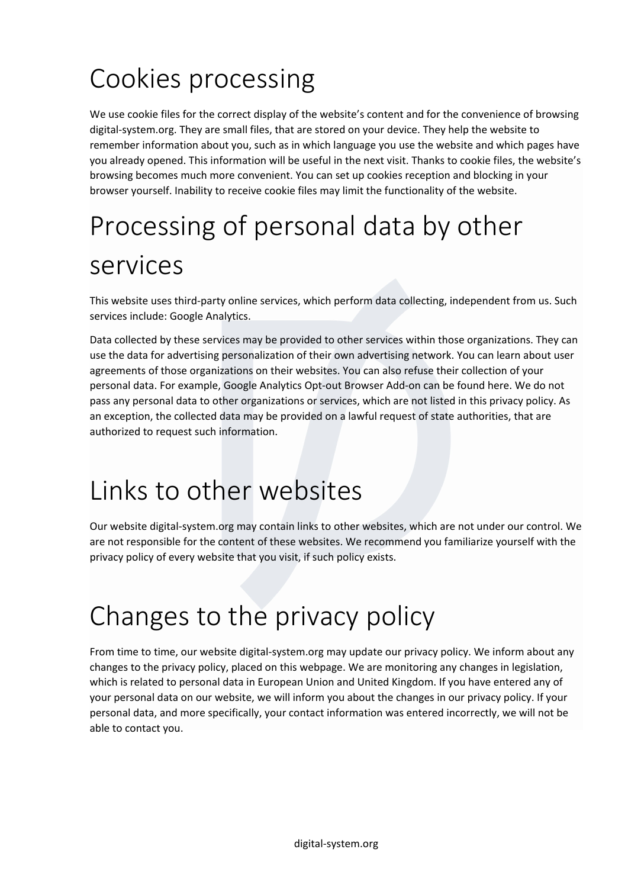# Cookies processing

We use cookie files for the correct display of the website's content and for the convenience of browsing digital-system.org. They are small files, that are stored on your device. They help the website to remember information about you, such as in which language you use the website and which pages have you already opened. This information will be useful in the next visit. Thanks to cookie files, the website's browsing becomes much more convenient. You can set up cookies reception and blocking in your browser yourself. Inability to receive cookie files may limit the functionality of the website.

# Processing of personal data by other services

This website uses third-party online services, which perform data collecting, independent from us. Such services include: Google Analytics.

Data collected by these services may be provided to other services within those organizations. They can use the data for advertising personalization of their own advertising network. You can learn about user agreements of those organizations on their websites. You can also refuse their collection of your personal data. For example, Google Analytics Opt-out Browser Add-on can be found here. We do not pass any personal data to other organizations or services, which are not listed in this privacy policy. As an exception, the collected data may be provided on a lawful request of state authorities, that are authorized to request such information.

#### Links to other websites

Our website digital-system.org may contain links to other websites, which are not under our control. We are not responsible for the content of these websites. We recommend you familiarize yourself with the privacy policy of every website that you visit, if such policy exists.

#### Changes to the privacy policy

From time to time, our website digital-system.org may update our privacy policy. We inform about any changes to the privacy policy, placed on this webpage. We are monitoring any changes in legislation, which is related to personal data in European Union and United Kingdom. If you have entered any of your personal data on our website, we will inform you about the changes in our privacy policy. If your personal data, and more specifically, your contact information was entered incorrectly, we will not be able to contact you.